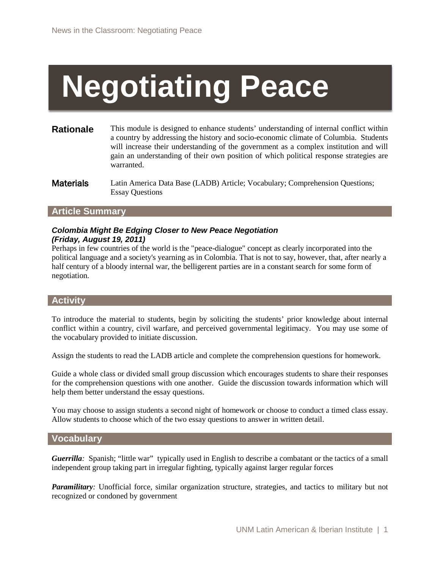# **Negotiating Peace**

- **Rationale** This module is designed to enhance students' understanding of internal conflict within a country by addressing the history and socio-economic climate of Columbia. Students will increase their understanding of the government as a complex institution and will gain an understanding of their own position of which political response strategies are warranted.
- **Materials** Latin America Data Base (LADB) Article; Vocabulary; Comprehension Questions; Essay Questions

## **Article Summary**

# *Colombia Might Be Edging Closer to New Peace Negotiation (Friday, August 19, 2011)*

Perhaps in few countries of the world is the "peace-dialogue" concept as clearly incorporated into the political language and a society's yearning as in Colombia. That is not to say, however, that, after nearly a half century of a bloody internal war, the belligerent parties are in a constant search for some form of negotiation.

# **Activity**

To introduce the material to students, begin by soliciting the students' prior knowledge about internal conflict within a country, civil warfare, and perceived governmental legitimacy. You may use some of the vocabulary provided to initiate discussion.

Assign the students to read the LADB article and complete the comprehension questions for homework.

Guide a whole class or divided small group discussion which encourages students to share their responses for the comprehension questions with one another. Guide the discussion towards information which will help them better understand the essay questions.

You may choose to assign students a second night of homework or choose to conduct a timed class essay. Allow students to choose which of the two essay questions to answer in written detail.

## **Vocabulary**

*Guerrilla*: Spanish; "little war" typically used in English to describe a combatant or the tactics of a small independent group taking part in irregular fighting, typically against larger regular forces

*Paramilitary:* Unofficial force, similar organization structure, strategies, and tactics to military but not recognized or condoned by government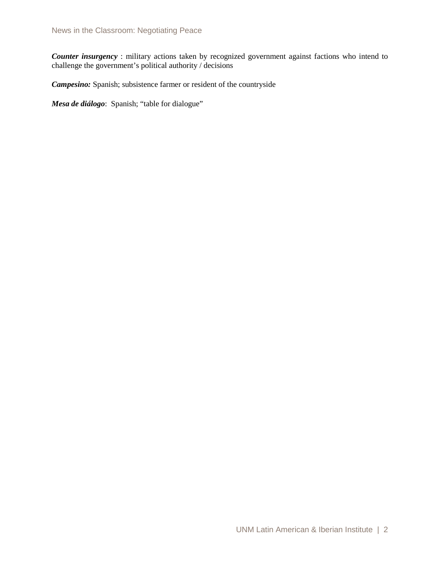*Counter insurgency*: military actions taken by recognized government against factions who intend to challenge the government's political authority / decisions

*Campesino:* Spanish; subsistence farmer or resident of the countryside

*Mesa de diálogo*: Spanish; "table for dialogue"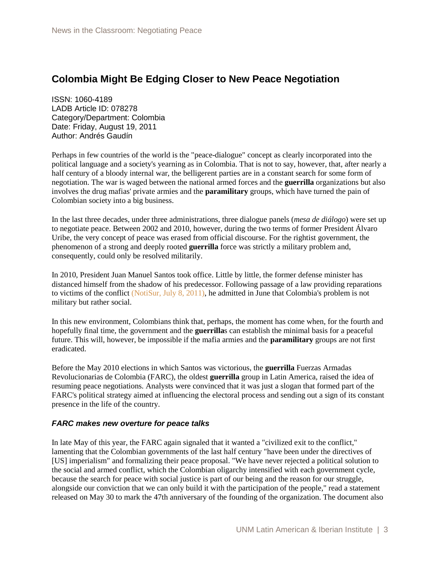# **Colombia Might Be Edging Closer to New Peace Negotiation**

ISSN: 1060-4189 LADB Article ID: 078278 Category/Department: Colombia Date: Friday, August 19, 2011 Author: Andrés Gaudín

Perhaps in few countries of the world is the "peace-dialogue" concept as clearly incorporated into the political language and a society's yearning as in Colombia. That is not to say, however, that, after nearly a half century of a bloody internal war, the belligerent parties are in a constant search for some form of negotiation. The war is waged between the national armed forces and the **guerrilla** organizations but also involves the drug mafias' private armies and the **paramilitary** groups, which have turned the pain of Colombian society into a big business.

In the last three decades, under three administrations, three dialogue panels (*mesa de diálogo*) were set up to negotiate peace. Between 2002 and 2010, however, during the two terms of former President Álvaro Uribe, the very concept of peace was erased from official discourse. For the rightist government, the phenomenon of a strong and deeply rooted **guerrilla** force was strictly a military problem and, consequently, could only be resolved militarily.

In 2010, President Juan Manuel Santos took office. Little by little, the former defense minister has distanced himself from the shadow of his predecessor. Following passage of a law providing reparations to victims of the conflict [\(NotiSur, July 8, 2011\),](http://ladb.unm.edu/publication/ViewArticle/article_id/078242) he admitted in June that Colombia's problem is not military but rather social.

In this new environment, Colombians think that, perhaps, the moment has come when, for the fourth and hopefully final time, the government and the **guerrilla**s can establish the minimal basis for a peaceful future. This will, however, be impossible if the mafia armies and the **paramilitary** groups are not first eradicated.

Before the May 2010 elections in which Santos was victorious, the **guerrilla** Fuerzas Armadas Revolucionarias de Colombia (FARC), the oldest **guerrilla** group in Latin America, raised the idea of resuming peace negotiations. Analysts were convinced that it was just a slogan that formed part of the FARC's political strategy aimed at influencing the electoral process and sending out a sign of its constant presence in the life of the country.

# *FARC makes new overture for peace talks*

In late May of this year, the FARC again signaled that it wanted a "civilized exit to the conflict," lamenting that the Colombian governments of the last half century "have been under the directives of [US] imperialism" and formalizing their peace proposal. "We have never rejected a political solution to the social and armed conflict, which the Colombian oligarchy intensified with each government cycle, because the search for peace with social justice is part of our being and the reason for our struggle, alongside our conviction that we can only build it with the participation of the people," read a statement released on May 30 to mark the 47th anniversary of the founding of the organization. The document also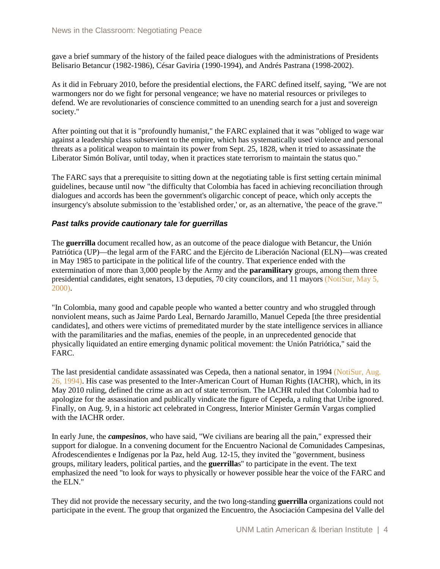gave a brief summary of the history of the failed peace dialogues with the administrations of Presidents Belisario Betancur (1982-1986), César Gaviria (1990-1994), and Andrés Pastrana (1998-2002).

As it did in February 2010, before the presidential elections, the FARC defined itself, saying, "We are not warmongers nor do we fight for personal vengeance; we have no material resources or privileges to defend. We are revolutionaries of conscience committed to an unending search for a just and sovereign society."

After pointing out that it is "profoundly humanist," the FARC explained that it was "obliged to wage war against a leadership class subservient to the empire, which has systematically used violence and personal threats as a political weapon to maintain its power from Sept. 25, 1828, when it tried to assassinate the Liberator Simón Bolívar, until today, when it practices state terrorism to maintain the status quo."

The FARC says that a prerequisite to sitting down at the negotiating table is first setting certain minimal guidelines, because until now "the difficulty that Colombia has faced in achieving reconciliation through dialogues and accords has been the government's oligarchic concept of peace, which only accepts the insurgency's absolute submission to the 'established order,' or, as an alternative, 'the peace of the grave.'"

# *Past talks provide cautionary tale for guerrillas*

The **guerrilla** document recalled how, as an outcome of the peace dialogue with Betancur, the Unión Patriótica (UP)—the legal arm of the FARC and the Ejército de Liberación Nacional (ELN)—was created in May 1985 to participate in the political life of the country. That experience ended with the extermination of more than 3,000 people by the Army and the **paramilitary** groups, among them three presidential candidates, eight senators, 13 deputies, 70 city councilors, and 11 mayors [\(NotiSur, May 5,](http://ladb.unm.edu/publication/ViewArticle/article_id/053901)  [2000\).](http://ladb.unm.edu/publication/ViewArticle/article_id/053901)

"In Colombia, many good and capable people who wanted a better country and who struggled through nonviolent means, such as Jaime Pardo Leal, Bernardo Jaramillo, Manuel Cepeda [the three presidential candidates], and others were victims of premeditated murder by the state intelligence services in alliance with the paramilitaries and the mafias, enemies of the people, in an unprecedented genocide that physically liquidated an entire emerging dynamic political movement: the Unión Patriótica," said the FARC.

The last presidential candidate assassinated was Cepeda, then a national senator, in 1994 [\(NotiSur, Aug.](http://ladb.unm.edu/publication/ViewArticle/article_id/056562)  [26, 1994\).](http://ladb.unm.edu/publication/ViewArticle/article_id/056562) His case was presented to the Inter-American Court of Human Rights (IACHR), which, in its May 2010 ruling, defined the crime as an act of state terrorism. The IACHR ruled that Colombia had to apologize for the assassination and publically vindicate the figure of Cepeda, a ruling that Uribe ignored. Finally, on Aug. 9, in a historic act celebrated in Congress, Interior Minister Germán Vargas complied with the IACHR order.

In early June, the *campesinos*, who have said, "We civilians are bearing all the pain," expressed their support for dialogue. In a convening document for the Encuentro Nacional de Comunidades Campesinas, Afrodescendientes e Indígenas por la Paz, held Aug. 12-15, they invited the "government, business groups, military leaders, political parties, and the **guerrilla**s" to participate in the event. The text emphasized the need "to look for ways to physically or however possible hear the voice of the FARC and the ELN."

They did not provide the necessary security, and the two long-standing **guerrilla** organizations could not participate in the event. The group that organized the Encuentro, the Asociación Campesina del Valle del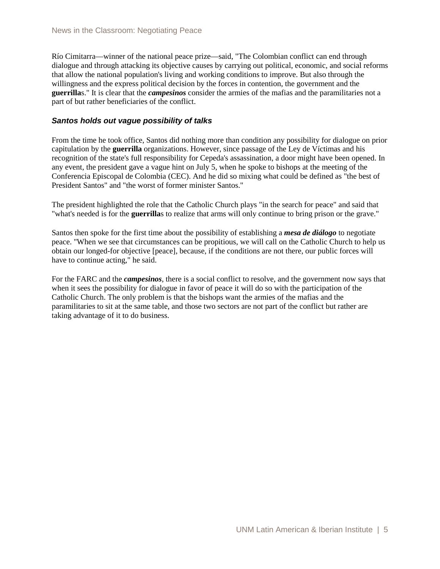Río Cimitarra—winner of the national peace prize—said, "The Colombian conflict can end through dialogue and through attacking its objective causes by carrying out political, economic, and social reforms that allow the national population's living and working conditions to improve. But also through the willingness and the express political decision by the forces in contention, the government and the **guerrilla**s." It is clear that the *campesinos* consider the armies of the mafias and the paramilitaries not a part of but rather beneficiaries of the conflict.

## *Santos holds out vague possibility of talks*

From the time he took office, Santos did nothing more than condition any possibility for dialogue on prior capitulation by the **guerrilla** organizations. However, since passage of the Ley de Víctimas and his recognition of the state's full responsibility for Cepeda's assassination, a door might have been opened. In any event, the president gave a vague hint on July 5, when he spoke to bishops at the meeting of the Conferencia Episcopal de Colombia (CEC). And he did so mixing what could be defined as "the best of President Santos" and "the worst of former minister Santos."

The president highlighted the role that the Catholic Church plays "in the search for peace" and said that "what's needed is for the **guerrilla**s to realize that arms will only continue to bring prison or the grave."

Santos then spoke for the first time about the possibility of establishing a *mesa de diálogo* to negotiate peace. "When we see that circumstances can be propitious, we will call on the Catholic Church to help us obtain our longed-for objective [peace], because, if the conditions are not there, our public forces will have to continue acting," he said.

For the FARC and the *campesinos*, there is a social conflict to resolve, and the government now says that when it sees the possibility for dialogue in favor of peace it will do so with the participation of the Catholic Church. The only problem is that the bishops want the armies of the mafias and the paramilitaries to sit at the same table, and those two sectors are not part of the conflict but rather are taking advantage of it to do business.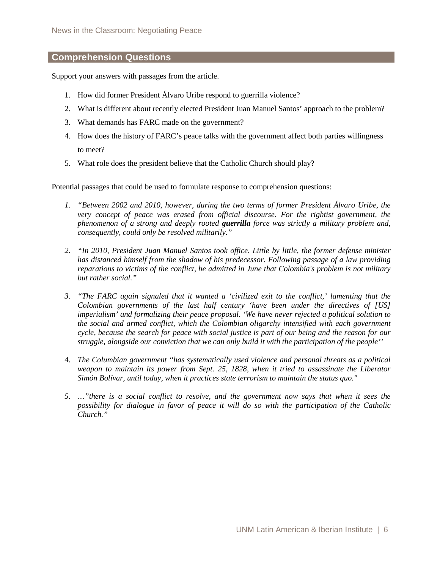# **Comprehension Questions**

Support your answers with passages from the article.

- 1. How did former President Álvaro Uribe respond to guerrilla violence?
- 2. What is different about recently elected President Juan Manuel Santos' approach to the problem?
- 3. What demands has FARC made on the government?
- 4. How does the history of FARC's peace talks with the government affect both parties willingness to meet?
- 5. What role does the president believe that the Catholic Church should play?

Potential passages that could be used to formulate response to comprehension questions:

- *1. "Between 2002 and 2010, however, during the two terms of former President Álvaro Uribe, the very concept of peace was erased from official discourse. For the rightist government, the phenomenon of a strong and deeply rooted guerrilla force was strictly a military problem and, consequently, could only be resolved militarily."*
- *2. "In 2010, President Juan Manuel Santos took office. Little by little, the former defense minister has distanced himself from the shadow of his predecessor. Following passage of a law providing reparations to victims of the conflict, he admitted in June that Colombia's problem is not military but rather social."*
- *3. "The FARC again signaled that it wanted a 'civilized exit to the conflict,' lamenting that the Colombian governments of the last half century 'have been under the directives of [US] imperialism' and formalizing their peace proposal. 'We have never rejected a political solution to the social and armed conflict, which the Colombian oligarchy intensified with each government cycle, because the search for peace with social justice is part of our being and the reason for our struggle, alongside our conviction that we can only build it with the participation of the people''*
- 4. *The Columbian government "has systematically used violence and personal threats as a political weapon to maintain its power from Sept. 25, 1828, when it tried to assassinate the Liberator Simón Bolívar, until today, when it practices state terrorism to maintain the status quo."*
- *5. …"there is a social conflict to resolve, and the government now says that when it sees the possibility for dialogue in favor of peace it will do so with the participation of the Catholic Church."*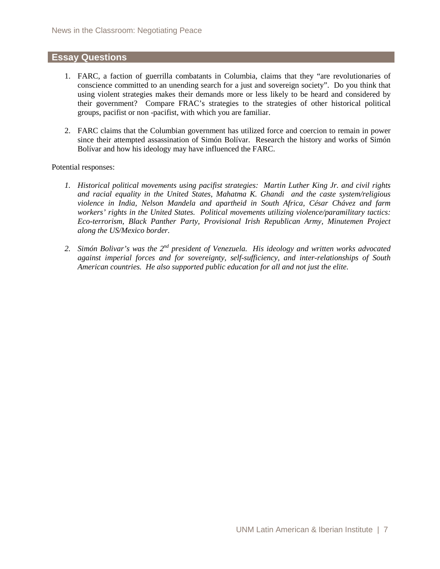# **Essay Questions**

- 1. FARC, a faction of guerrilla combatants in Columbia, claims that they "are revolutionaries of conscience committed to an unending search for a just and sovereign society". Do you think that using violent strategies makes their demands more or less likely to be heard and considered by their government? Compare FRAC's strategies to the strategies of other historical political groups, pacifist or non -pacifist, with which you are familiar.
- 2. FARC claims that the Columbian government has utilized force and coercion to remain in power since their attempted assassination of Simón Bolívar. Research the history and works of Simón Bolívar and how his ideology may have influenced the FARC.

Potential responses:

- *1. Historical political movements using pacifist strategies: Martin Luther King Jr. and civil rights and racial equality in the United States, Mahatma K. Ghandi and the caste system/religious violence in India, Nelson Mandela and apartheid in South Africa, César Chávez and farm workers' rights in the United States. Political movements utilizing violence/paramilitary tactics: Eco-terrorism, Black Panther Party, Provisional Irish Republican Army, Minutemen Project along the US/Mexico border.*
- *2. Simón Bolivar's was the 2nd president of Venezuela. His ideology and written works advocated against imperial forces and for sovereignty, self-sufficiency, and inter-relationships of South American countries. He also supported public education for all and not just the elite.*